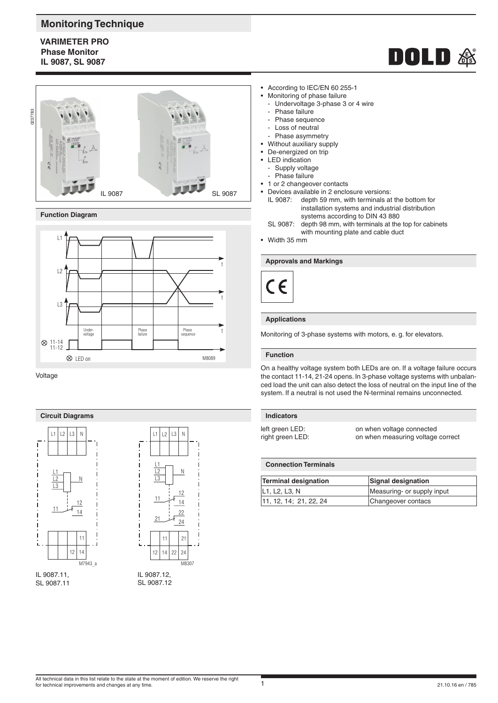# **Monitoring Technique**

**VARIMETER PRO Phase Monitor IL 9087, SL 9087**



# **Function Diagram**



Voltage





SL 9087.11



- Monitoring of phase failure
	- Undervoltage 3-phase 3 or 4 wire
	- Phase failure
	- Phase sequence
	- Loss of neutral
- Phase asymmetry
- Without auxiliary supply
- De-energized on trip LED indication
- - Supply voltage Phase failure
- 1 or 2 changeover contacts
- Devices available in 2 enclosure versions:
	- IL 9087: depth 59 mm, with terminals at the bottom for installation systems and industrial distribution systems according to DIN 43 880<br>SL 9087: depth 98 mm, with terminals at the
	- depth 98 mm, with terminals at the top for cabinets with mounting plate and cable duct
- Width 35 mm

# **Approvals and Markings**



# **Applications**

Monitoring of 3-phase systems with motors, e. g. for elevators.

### **Function**

On a healthy voltage system both LEDs are on. If a voltage failure occurs the contact 11-14, 21-24 opens. In 3-phase voltage systems with unbalanced load the unit can also detect the loss of neutral on the input line of the system. If a neutral is not used the N-terminal remains unconnected.

left green LED: on when voltage connected<br>
right green LED: on when measuring voltage on when measuring voltage correct

**DOLD&** 

# **Connection Terminals**

| <b>Terminal designation</b>                          | Signal designation         |
|------------------------------------------------------|----------------------------|
| L <sub>1</sub> , L <sub>2</sub> , L <sub>3</sub> , N | Measuring- or supply input |
| 11, 12, 14; 21, 22, 24                               | Changeover contacs         |